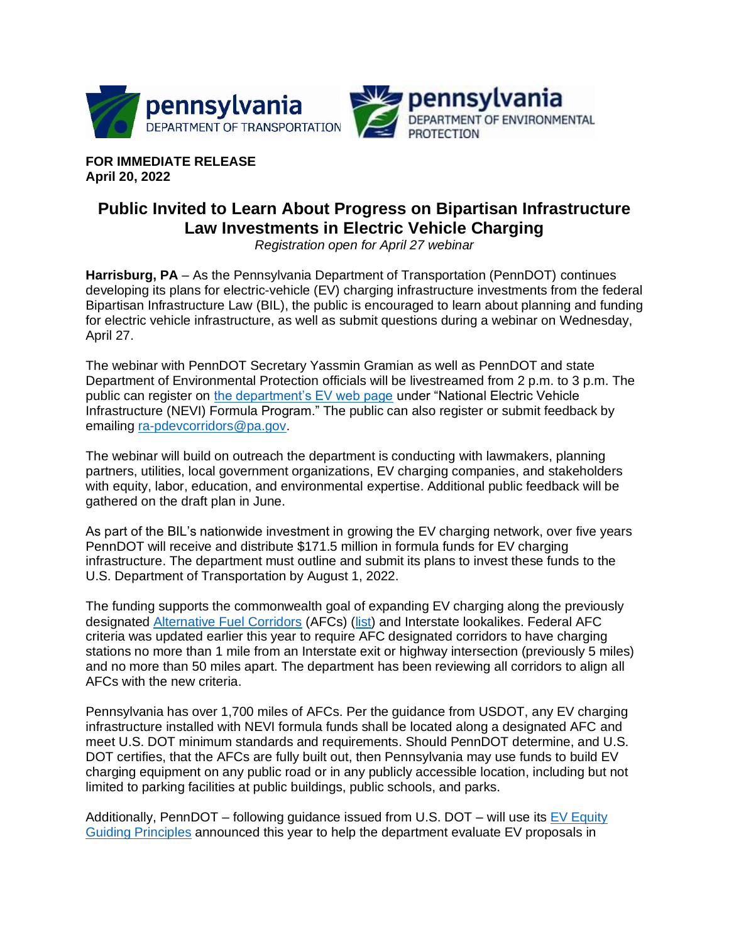

**FOR IMMEDIATE RELEASE April 20, 2022**

## **Public Invited to Learn About Progress on Bipartisan Infrastructure Law Investments in Electric Vehicle Charging**

*Registration open for April 27 webinar*

**Harrisburg, PA** – As the Pennsylvania Department of Transportation (PennDOT) continues developing its plans for electric-vehicle (EV) charging infrastructure investments from the federal Bipartisan Infrastructure Law (BIL), the public is encouraged to learn about planning and funding for electric vehicle infrastructure, as well as submit questions during a webinar on Wednesday, April 27.

The webinar with PennDOT Secretary Yassmin Gramian as well as PennDOT and state Department of Environmental Protection officials will be livestreamed from 2 p.m. to 3 p.m. The public can register on [the department's EV web page](https://www.penndot.pa.gov/ProjectAndPrograms/Planning/EVs/Pages/NEVI.aspx) under "National Electric Vehicle Infrastructure (NEVI) Formula Program." The public can also register or submit feedback by emailing [ra-pdevcorridors@pa.gov.](mailto:ra-pdevcorridors@pa.gov)

The webinar will build on outreach the department is conducting with lawmakers, planning partners, utilities, local government organizations, EV charging companies, and stakeholders with equity, labor, education, and environmental expertise. Additional public feedback will be gathered on the draft plan in June.

As part of the BIL's nationwide investment in growing the EV charging network, over five years PennDOT will receive and distribute \$171.5 million in formula funds for EV charging infrastructure. The department must outline and submit its plans to invest these funds to the U.S. Department of Transportation by August 1, 2022.

The funding supports the commonwealth goal of expanding EV charging along the previously designated [Alternative Fuel Corridors](https://www.penndot.gov/ProjectAndPrograms/Planning/PublishingImages/PA_AFC_EV.png) (AFCs) [\(list\)](https://www.fhwa.dot.gov/environment/alternative_fuel_corridors/all_corridors/) and Interstate lookalikes. Federal AFC criteria was updated earlier this year to require AFC designated corridors to have charging stations no more than 1 mile from an Interstate exit or highway intersection (previously 5 miles) and no more than 50 miles apart. The department has been reviewing all corridors to align all AFCs with the new criteria.

Pennsylvania has over 1,700 miles of AFCs. Per the guidance from USDOT, any EV charging infrastructure installed with NEVI formula funds shall be located along a designated AFC and meet U.S. DOT minimum standards and requirements. Should PennDOT determine, and U.S. DOT certifies, that the AFCs are fully built out, then Pennsylvania may use funds to build EV charging equipment on any public road or in any publicly accessible location, including but not limited to parking facilities at public buildings, public schools, and parks.

Additionally, PennDOT – following guidance issued from U.S. DOT – will use its  $E_V$  Equity [Guiding Principles](https://www.penndot.gov/ProjectAndPrograms/Planning/Documents/EV%20Equity%20Principles_02072022.pdf) announced this year to help the department evaluate EV proposals in